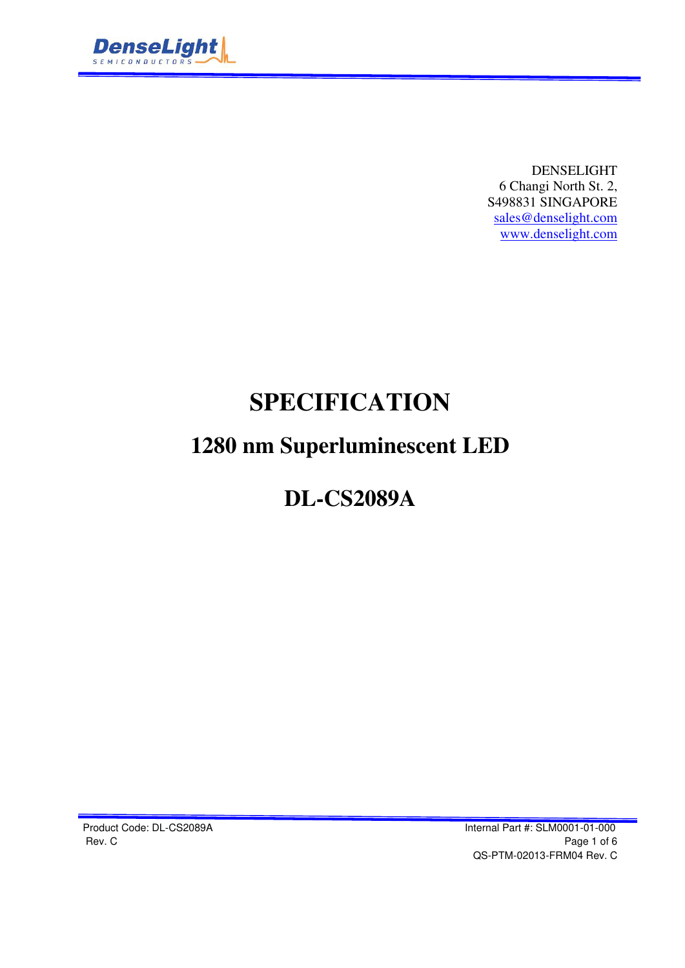

DENSELIGHT 6 Changi North St. 2, S498831 SINGAPORE sales@denselight.com www.denselight.com

# **SPECIFICATION**

# **1280 nm Superluminescent LED**

# **DL-CS2089A**

Product Code: DL-CS2089A **Internal Part #: SLM0001-01-000** Rev. C Page 1 of 6 QS-PTM-02013-FRM04 Rev. C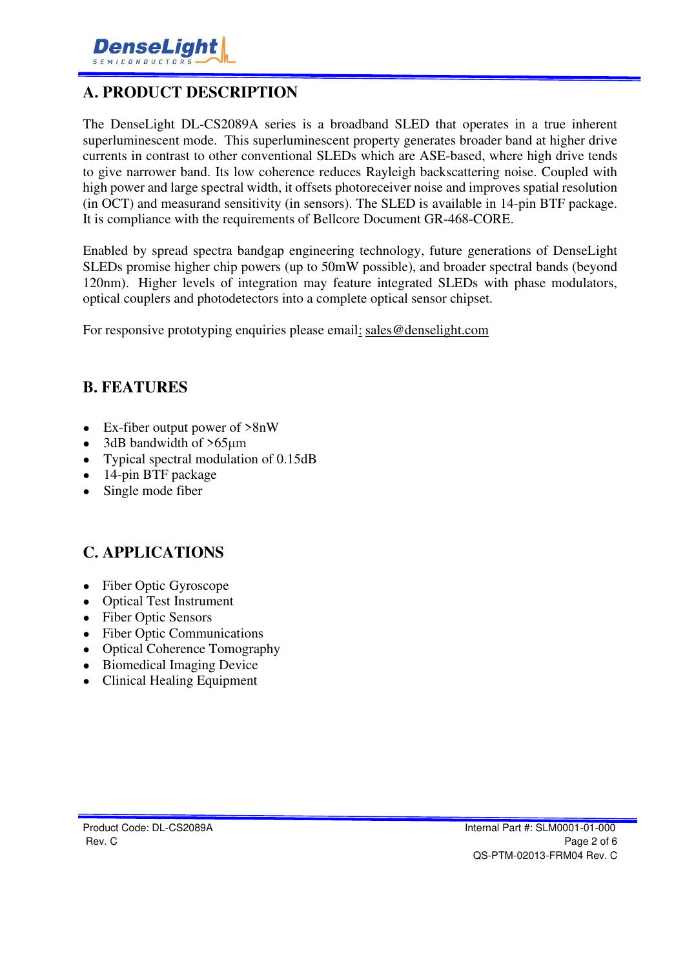

### **A. PRODUCT DESCRIPTION**

The DenseLight DL-CS2089A series is a broadband SLED that operates in a true inherent superluminescent mode. This superluminescent property generates broader band at higher drive currents in contrast to other conventional SLEDs which are ASE-based, where high drive tends to give narrower band. Its low coherence reduces Rayleigh backscattering noise. Coupled with high power and large spectral width, it offsets photoreceiver noise and improves spatial resolution (in OCT) and measurand sensitivity (in sensors). The SLED is available in 14-pin BTF package. It is compliance with the requirements of Bellcore Document GR-468-CORE.

Enabled by spread spectra bandgap engineering technology, future generations of DenseLight SLEDs promise higher chip powers (up to 50mW possible), and broader spectral bands (beyond 120nm). Higher levels of integration may feature integrated SLEDs with phase modulators, optical couplers and photodetectors into a complete optical sensor chipset.

For responsive prototyping enquiries please email: sales@denselight.com

#### **B. FEATURES**

- Ex-fiber output power of  $>8$ nW
- 3dB bandwidth of  $>65 \mu m$
- Typical spectral modulation of 0.15dB
- 14-pin BTF package
- Single mode fiber

#### **C. APPLICATIONS**

- Fiber Optic Gyroscope
- Optical Test Instrument
- Fiber Optic Sensors
- Fiber Optic Communications
- Optical Coherence Tomography
- Biomedical Imaging Device
- Clinical Healing Equipment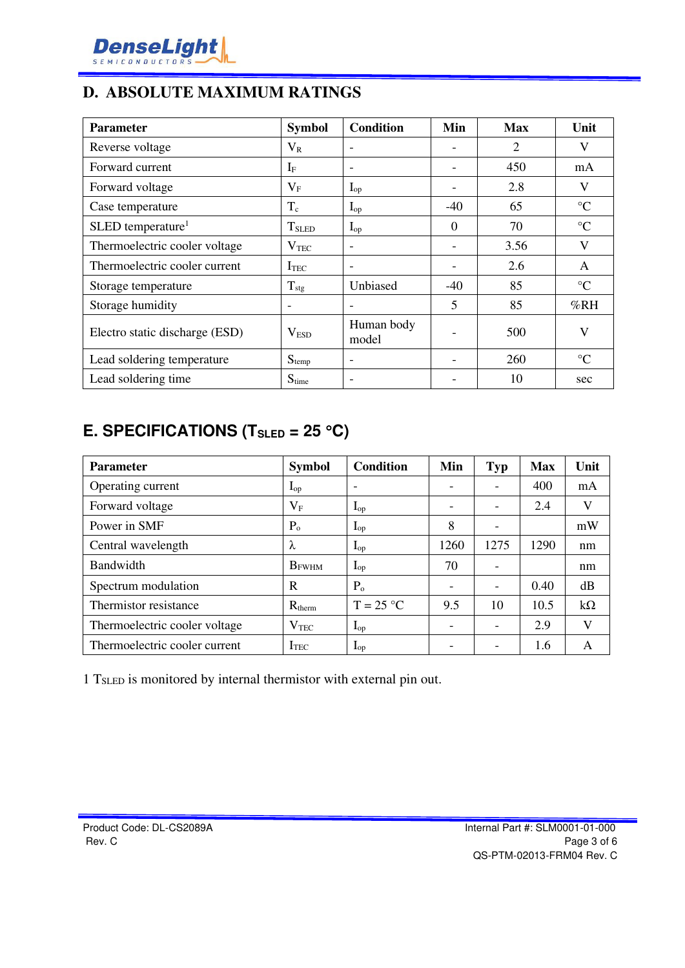

### **D. ABSOLUTE MAXIMUM RATINGS**

| <b>Parameter</b>                | <b>Symbol</b>            | <b>Condition</b>    | Min      | <b>Max</b>     | Unit                    |
|---------------------------------|--------------------------|---------------------|----------|----------------|-------------------------|
| Reverse voltage                 | $V_{R}$                  |                     |          | $\overline{2}$ | V                       |
| Forward current                 | $I_{\rm F}$              |                     |          | 450            | mA                      |
| Forward voltage                 | $V_{\rm F}$              | $I_{op}$            | -        | 2.8            | V                       |
| Case temperature                | $T_c$                    | $I_{op}$            | $-40$    | 65             | $\rm ^{\circ}C$         |
| $SLED$ temperature <sup>1</sup> | <b>T</b> <sub>SLED</sub> | $I_{op}$            | $\theta$ | 70             | $\rm ^{\circ}C$         |
| Thermoelectric cooler voltage   | V <sub>TEC</sub>         |                     |          | 3.56           | $\overline{\mathsf{V}}$ |
| Thermoelectric cooler current   | ITEC                     |                     |          | 2.6            | A                       |
| Storage temperature             | $T_{\text{stg}}$         | Unbiased            | $-40$    | 85             | $\rm ^{\circ}C$         |
| Storage humidity                |                          |                     | 5        | 85             | %RH                     |
| Electro static discharge (ESD)  | V <sub>ESD</sub>         | Human body<br>model |          | 500            | V                       |
| Lead soldering temperature      | $S_{temp}$               |                     |          | 260            | $\rm ^{\circ}C$         |
| Lead soldering time             | $S_{time}$               |                     |          | 10             | sec                     |

# **E. SPECIFICATIONS (TSLED = 25 C)**

| <b>Parameter</b>              | <b>Symbol</b>            | <b>Condition</b>         | Min                      | Typ                      | <b>Max</b> | Unit      |
|-------------------------------|--------------------------|--------------------------|--------------------------|--------------------------|------------|-----------|
| Operating current             | $\mathbf{I}_{\text{op}}$ | $\overline{\phantom{a}}$ |                          | ۰                        | 400        | mA        |
| Forward voltage               | $V_{\rm F}$              | $I_{op}$                 |                          | $\overline{\phantom{0}}$ | 2.4        | V         |
| Power in SMF                  | $P_{o}$                  | $\mathbf{I}_{op}$        | 8                        | ۰                        |            | mW        |
| Central wavelength            | λ                        | $\mathbf{I}_{op}$        | 1260                     | 1275                     | 1290       | nm        |
| Bandwidth                     | $B_{FWHM}$               | $I_{op}$                 | 70                       | $\qquad \qquad$          |            | nm        |
| Spectrum modulation           | R                        | $P_0$                    | $\overline{\phantom{0}}$ | $\overline{\phantom{a}}$ | 0.40       | dB        |
| Thermistor resistance         | $R_{therm}$              | $T = 25$ °C              | 9.5                      | 10                       | 10.5       | $k\Omega$ |
| Thermoelectric cooler voltage | $V_{\rm TEC}$            | $\mathbf{I}_{op}$        |                          | ۰                        | 2.9        | V         |
| Thermoelectric cooler current | $1$ TEC                  | $\mathbf{I}_{op}$        |                          | $\qquad \qquad$          | 1.6        | A         |

1 TSLED is monitored by internal thermistor with external pin out.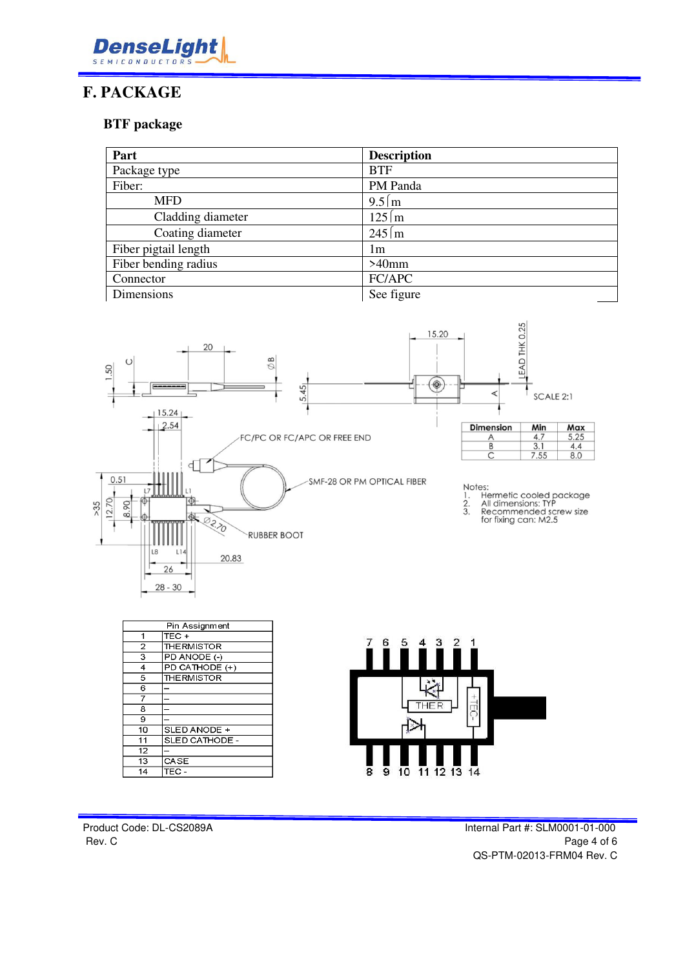

### **F. PACKAGE**

#### **BTF package**

| Part                 | <b>Description</b>  |
|----------------------|---------------------|
| Package type         | <b>BTF</b>          |
| Fiber:               | PM Panda            |
| <b>MFD</b>           | $9.5 \, \mathrm{m}$ |
| Cladding diameter    | $125 \mid m$        |
| Coating diameter     | $245 \, \mathrm{m}$ |
| Fiber pigtail length | 1m                  |
| Fiber bending radius | $>40$ mm            |
| Connector            | FC/APC              |
| Dimensions           | See figure          |



|                | Pin Assignment     |
|----------------|--------------------|
| 1              | TEC+               |
| $\overline{2}$ | THERMISTOR         |
| 3              | PD ANODE (-)       |
| 4              | PD CATHODE (+)     |
| 5              | <b>THE RMISTOR</b> |
| 6              |                    |
| 7              |                    |
| 8              |                    |
| 9              |                    |
| 10             | SLED ANODE +       |
| 11             | SLED CATHODE -     |
| 12             |                    |
| 13             | CASE               |
| 14             | TFC -              |
|                |                    |

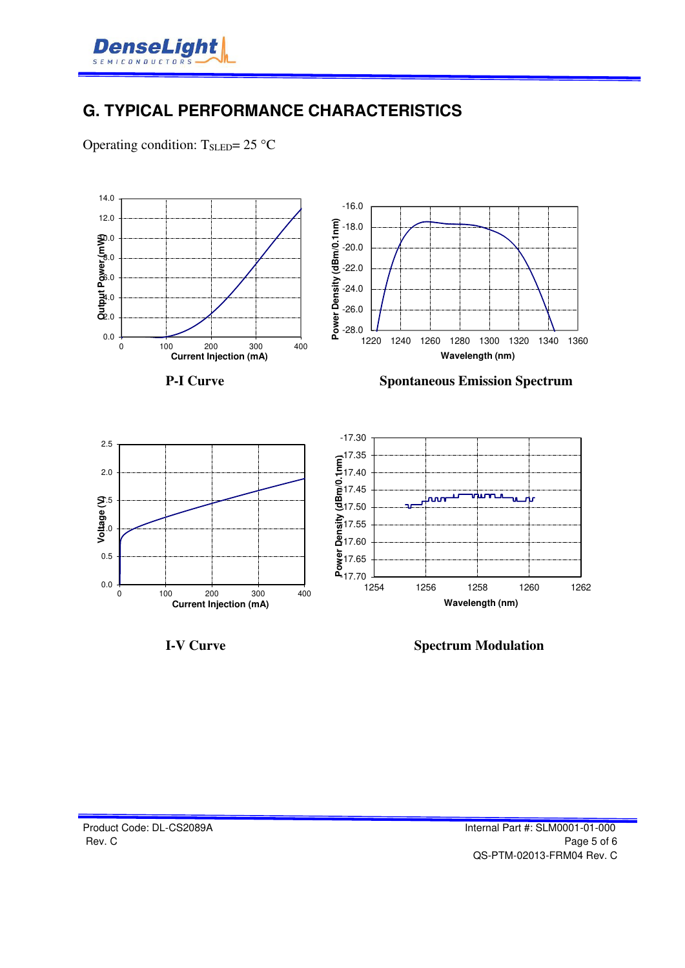

## **G. TYPICAL PERFORMANCE CHARACTERISTICS**

Operating condition:  $T_{\text{SLED}} = 25 \text{ °C}$ 



**I-V Curve Spectrum Modulation**